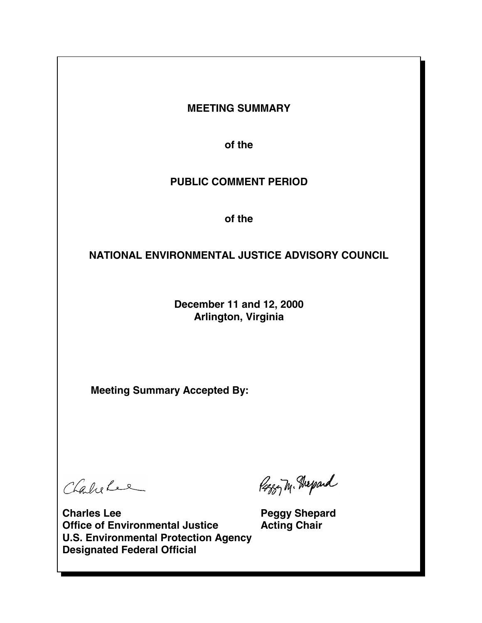# **MEETING SUMMARY**

**of the** 

# **PUBLIC COMMENT PERIOD**

**of the** 

# **NATIONAL ENVIRONMENTAL JUSTICE ADVISORY COUNCIL**

**December 11 and 12, 2000 Arlington, Virginia** 

**Meeting Summary Accepted By:** 

Chabelee

Paggy M. Grepard

**Charles Lee Peggy Shepard Office of Environmental Justice Acting Chair U.S. Environmental Protection Agency Designated Federal Official**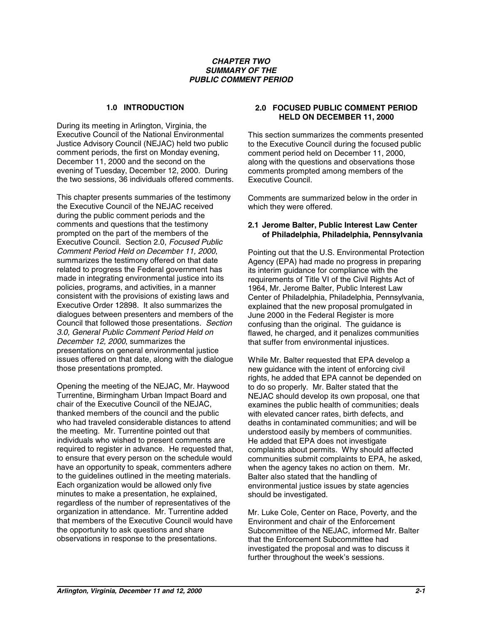#### *CHAPTER TWO SUMMARY OF THE PUBLIC COMMENT PERIOD*

### **1.0 INTRODUCTION**

During its meeting in Arlington, Virginia, the Executive Council of the National Environmental Justice Advisory Council (NEJAC) held two public comment periods, the first on Monday evening, December 11, 2000 and the second on the evening of Tuesday, December 12, 2000. During the two sessions, 36 individuals offered comments.

This chapter presents summaries of the testimony the Executive Council of the NEJAC received during the public comment periods and the comments and questions that the testimony prompted on the part of the members of the Executive Council. Section 2.0, *Focused Public Comment Period Held on December 11, 2000*, summarizes the testimony offered on that date related to progress the Federal government has made in integrating environmental justice into its policies, programs, and activities, in a manner consistent with the provisions of existing laws and Executive Order 12898. It also summarizes the dialogues between presenters and members of the Council that followed those presentations. *Section 3.0, General Public Comment Period Held on December 12, 2000*, summarizes the presentations on general environmental justice issues offered on that date, along with the dialogue those presentations prompted.

Opening the meeting of the NEJAC, Mr. Haywood Turrentine, Birmingham Urban Impact Board and chair of the Executive Council of the NEJAC, thanked members of the council and the public who had traveled considerable distances to attend the meeting. Mr. Turrentine pointed out that individuals who wished to present comments are required to register in advance. He requested that, to ensure that every person on the schedule would have an opportunity to speak, commenters adhere to the guidelines outlined in the meeting materials. Each organization would be allowed only five minutes to make a presentation, he explained, regardless of the number of representatives of the organization in attendance. Mr. Turrentine added that members of the Executive Council would have the opportunity to ask questions and share observations in response to the presentations.

# **2.0 FOCUSED PUBLIC COMMENT PERIOD HELD ON DECEMBER 11, 2000**

This section summarizes the comments presented to the Executive Council during the focused public comment period held on December 11, 2000, along with the questions and observations those comments prompted among members of the Executive Council.

Comments are summarized below in the order in which they were offered.

### **2.1 Jerome Balter, Public Interest Law Center of Philadelphia, Philadelphia, Pennsylvania**

Pointing out that the U.S. Environmental Protection Agency (EPA) had made no progress in preparing its interim guidance for compliance with the requirements of Title VI of the Civil Rights Act of 1964, Mr. Jerome Balter, Public Interest Law Center of Philadelphia, Philadelphia, Pennsylvania, explained that the new proposal promulgated in June 2000 in the Federal Register is more confusing than the original. The guidance is flawed, he charged, and it penalizes communities that suffer from environmental injustices.

While Mr. Balter requested that EPA develop a new guidance with the intent of enforcing civil rights, he added that EPA cannot be depended on to do so properly. Mr. Balter stated that the NEJAC should develop its own proposal, one that examines the public health of communities; deals with elevated cancer rates, birth defects, and deaths in contaminated communities; and will be understood easily by members of communities. He added that EPA does not investigate complaints about permits. Why should affected communities submit complaints to EPA, he asked, when the agency takes no action on them. Mr. Balter also stated that the handling of environmental justice issues by state agencies should be investigated.

Mr. Luke Cole, Center on Race, Poverty, and the Environment and chair of the Enforcement Subcommittee of the NEJAC, informed Mr. Balter that the Enforcement Subcommittee had investigated the proposal and was to discuss it further throughout the week's sessions.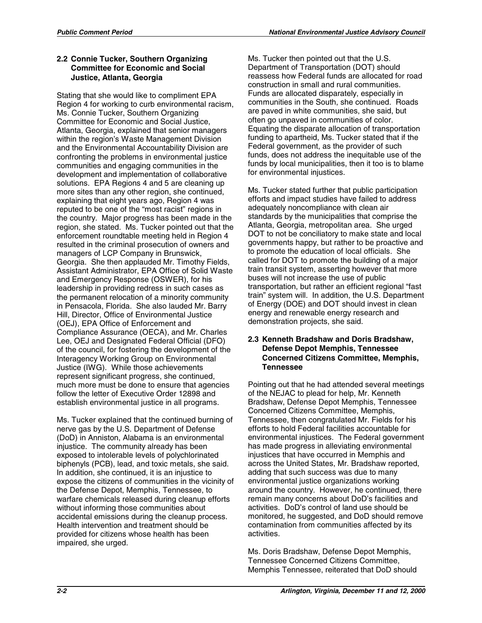# **2.2 Connie Tucker, Southern Organizing Committee for Economic and Social Justice, Atlanta, Georgia**

Stating that she would like to compliment EPA Region 4 for working to curb environmental racism, Ms. Connie Tucker, Southern Organizing Committee for Economic and Social Justice, Atlanta, Georgia, explained that senior managers within the region's Waste Management Division and the Environmental Accountability Division are confronting the problems in environmental justice communities and engaging communities in the development and implementation of collaborative solutions. EPA Regions 4 and 5 are cleaning up more sites than any other region, she continued, explaining that eight years ago, Region 4 was reputed to be one of the "most racist" regions in the country. Major progress has been made in the region, she stated. Ms. Tucker pointed out that the enforcement roundtable meeting held in Region 4 resulted in the criminal prosecution of owners and managers of LCP Company in Brunswick, Georgia. She then applauded Mr. Timothy Fields, Assistant Administrator, EPA Office of Solid Waste and Emergency Response (OSWER), for his leadership in providing redress in such cases as the permanent relocation of a minority community in Pensacola, Florida. She also lauded Mr. Barry Hill, Director, Office of Environmental Justice (OEJ), EPA Office of Enforcement and Compliance Assurance (OECA), and Mr. Charles Lee, OEJ and Designated Federal Official (DFO) of the council, for fostering the development of the Interagency Working Group on Environmental Justice (IWG). While those achievements represent significant progress, she continued, much more must be done to ensure that agencies follow the letter of Executive Order 12898 and establish environmental justice in all programs.

Ms. Tucker explained that the continued burning of nerve gas by the U.S. Department of Defense (DoD) in Anniston, Alabama is an environmental injustice. The community already has been exposed to intolerable levels of polychlorinated biphenyls (PCB), lead, and toxic metals, she said. In addition, she continued, it is an injustice to expose the citizens of communities in the vicinity of the Defense Depot, Memphis, Tennessee, to warfare chemicals released during cleanup efforts without informing those communities about accidental emissions during the cleanup process. Health intervention and treatment should be provided for citizens whose health has been impaired, she urged.

Ms. Tucker then pointed out that the U.S. Department of Transportation (DOT) should reassess how Federal funds are allocated for road construction in small and rural communities. Funds are allocated disparately, especially in communities in the South, she continued. Roads are paved in white communities, she said, but often go unpaved in communities of color. Equating the disparate allocation of transportation funding to apartheid, Ms. Tucker stated that if the Federal government, as the provider of such funds, does not address the inequitable use of the funds by local municipalities, then it too is to blame for environmental injustices.

Ms. Tucker stated further that public participation efforts and impact studies have failed to address adequately noncompliance with clean air standards by the municipalities that comprise the Atlanta, Georgia, metropolitan area. She urged DOT to not be conciliatory to make state and local governments happy, but rather to be proactive and to promote the education of local officials. She called for DOT to promote the building of a major train transit system, asserting however that more buses will not increase the use of public transportation, but rather an efficient regional "fast train" system will. In addition, the U.S. Department of Energy (DOE) and DOT should invest in clean energy and renewable energy research and demonstration projects, she said.

### **2.3 Kenneth Bradshaw and Doris Bradshaw, Defense Depot Memphis, Tennessee Concerned Citizens Committee, Memphis, Tennessee**

Pointing out that he had attended several meetings of the NEJAC to plead for help, Mr. Kenneth Bradshaw, Defense Depot Memphis, Tennessee Concerned Citizens Committee, Memphis, Tennessee, then congratulated Mr. Fields for his efforts to hold Federal facilities accountable for environmental injustices. The Federal government has made progress in alleviating environmental injustices that have occurred in Memphis and across the United States, Mr. Bradshaw reported, adding that such success was due to many environmental justice organizations working around the country. However, he continued, there remain many concerns about DoD's facilities and activities. DoD's control of land use should be monitored, he suggested, and DoD should remove contamination from communities affected by its activities.

Ms. Doris Bradshaw, Defense Depot Memphis, Tennessee Concerned Citizens Committee, Memphis Tennessee, reiterated that DoD should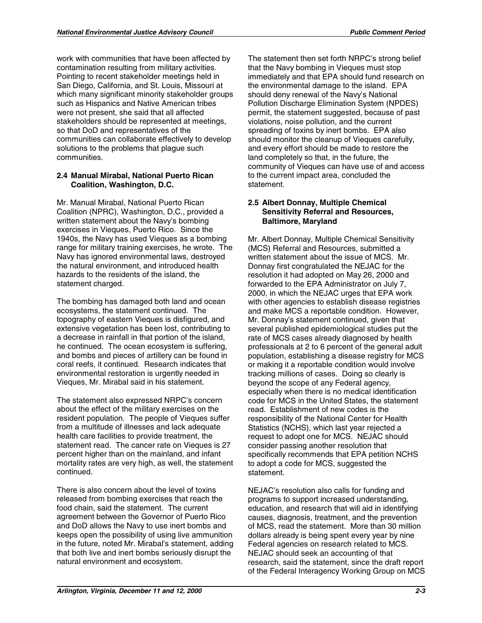work with communities that have been affected by contamination resulting from military activities. Pointing to recent stakeholder meetings held in San Diego, California, and St. Louis, Missouri at which many significant minority stakeholder groups such as Hispanics and Native American tribes were not present, she said that all affected stakeholders should be represented at meetings, so that DoD and representatives of the communities can collaborate effectively to develop solutions to the problems that plague such communities.

# **2.4 Manual Mirabal, National Puerto Rican Coalition, Washington, D.C.**

Mr. Manual Mirabal, National Puerto Rican Coalition (NPRC), Washington, D.C., provided a written statement about the Navy's bombing exercises in Vieques, Puerto Rico. Since the 1940s, the Navy has used Vieques as a bombing range for military training exercises, he wrote. The Navy has ignored environmental laws, destroyed the natural environment, and introduced health hazards to the residents of the island, the statement charged.

The bombing has damaged both land and ocean ecosystems, the statement continued. The topography of eastern Vieques is disfigured, and extensive vegetation has been lost, contributing to a decrease in rainfall in that portion of the island, he continued. The ocean ecosystem is suffering, and bombs and pieces of artillery can be found in coral reefs, it continued. Research indicates that environmental restoration is urgently needed in Vieques, Mr. Mirabal said in his statement.

The statement also expressed NRPC's concern about the effect of the military exercises on the resident population. The people of Vieques suffer from a multitude of illnesses and lack adequate health care facilities to provide treatment, the statement read. The cancer rate on Vieques is 27 percent higher than on the mainland, and infant mortality rates are very high, as well, the statement continued.

There is also concern about the level of toxins released from bombing exercises that reach the food chain, said the statement. The current agreement between the Governor of Puerto Rico and DoD allows the Navy to use inert bombs and keeps open the possibility of using live ammunition in the future, noted Mr. Mirabal's statement, adding that both live and inert bombs seriously disrupt the natural environment and ecosystem.

The statement then set forth NRPC's strong belief that the Navy bombing in Vieques must stop immediately and that EPA should fund research on the environmental damage to the island. EPA should deny renewal of the Navy's National Pollution Discharge Elimination System (NPDES) permit, the statement suggested, because of past violations, noise pollution, and the current spreading of toxins by inert bombs. EPA also should monitor the cleanup of Vieques carefully, and every effort should be made to restore the land completely so that, in the future, the community of Vieques can have use of and access to the current impact area, concluded the statement.

### **2.5 Albert Donnay, Multiple Chemical Sensitivity Referral and Resources, Baltimore, Maryland**

Mr. Albert Donnay, Multiple Chemical Sensitivity (MCS) Referral and Resources, submitted a written statement about the issue of MCS. Mr. Donnay first congratulated the NEJAC for the resolution it had adopted on May 26, 2000 and forwarded to the EPA Administrator on July 7, 2000, in which the NEJAC urges that EPA work with other agencies to establish disease registries and make MCS a reportable condition. However, Mr. Donnay's statement continued, given that several published epidemiological studies put the rate of MCS cases already diagnosed by health professionals at 2 to 6 percent of the general adult population, establishing a disease registry for MCS or making it a reportable condition would involve tracking millions of cases. Doing so clearly is beyond the scope of any Federal agency, especially when there is no medical identification code for MCS in the United States, the statement read. Establishment of new codes is the responsibility of the National Center for Health Statistics (NCHS), which last year rejected a request to adopt one for MCS. NEJAC should consider passing another resolution that specifically recommends that EPA petition NCHS to adopt a code for MCS, suggested the statement.

NEJAC's resolution also calls for funding and programs to support increased understanding, education, and research that will aid in identifying causes, diagnosis, treatment, and the prevention of MCS, read the statement. More than 30 million dollars already is being spent every year by nine Federal agencies on research related to MCS. NEJAC should seek an accounting of that research, said the statement, since the draft report of the Federal Interagency Working Group on MCS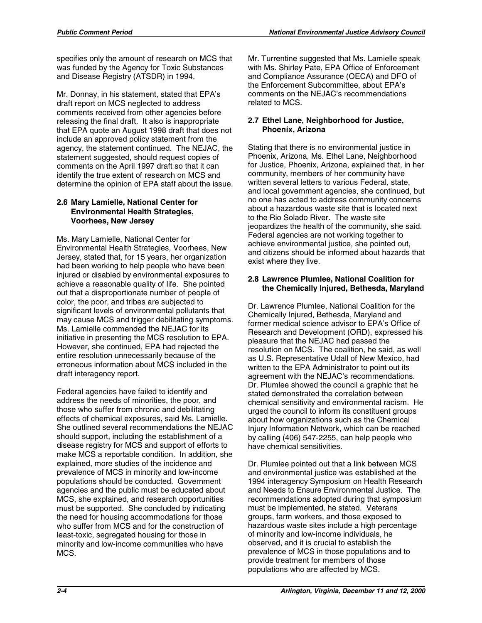specifies only the amount of research on MCS that was funded by the Agency for Toxic Substances and Disease Registry (ATSDR) in 1994.

Mr. Donnay, in his statement, stated that EPA's draft report on MCS neglected to address comments received from other agencies before releasing the final draft. It also is inappropriate that EPA quote an August 1998 draft that does not include an approved policy statement from the agency, the statement continued. The NEJAC, the statement suggested, should request copies of comments on the April 1997 draft so that it can identify the true extent of research on MCS and determine the opinion of EPA staff about the issue.

### **2.6 Mary Lamielle, National Center for Environmental Health Strategies, Voorhees, New Jersey**

Ms. Mary Lamielle, National Center for Environmental Health Strategies, Voorhees, New Jersey, stated that, for 15 years, her organization had been working to help people who have been injured or disabled by environmental exposures to achieve a reasonable quality of life. She pointed out that a disproportionate number of people of color, the poor, and tribes are subjected to significant levels of environmental pollutants that may cause MCS and trigger debilitating symptoms. Ms. Lamielle commended the NEJAC for its initiative in presenting the MCS resolution to EPA. However, she continued, EPA had rejected the entire resolution unnecessarily because of the erroneous information about MCS included in the draft interagency report.

Federal agencies have failed to identify and address the needs of minorities, the poor, and those who suffer from chronic and debilitating effects of chemical exposures, said Ms. Lamielle. She outlined several recommendations the NEJAC should support, including the establishment of a disease registry for MCS and support of efforts to make MCS a reportable condition. In addition, she explained, more studies of the incidence and prevalence of MCS in minority and low-income populations should be conducted. Government agencies and the public must be educated about MCS, she explained, and research opportunities must be supported. She concluded by indicating the need for housing accommodations for those who suffer from MCS and for the construction of least-toxic, segregated housing for those in minority and low-income communities who have MCS.

Mr. Turrentine suggested that Ms. Lamielle speak with Ms. Shirley Pate, EPA Office of Enforcement and Compliance Assurance (OECA) and DFO of the Enforcement Subcommittee, about EPA's comments on the NEJAC's recommendations related to MCS.

# **2.7 Ethel Lane, Neighborhood for Justice, Phoenix, Arizona**

Stating that there is no environmental justice in Phoenix, Arizona, Ms. Ethel Lane, Neighborhood for Justice, Phoenix, Arizona, explained that, in her community, members of her community have written several letters to various Federal, state, and local government agencies, she continued, but no one has acted to address community concerns about a hazardous waste site that is located next to the Rio Solado River. The waste site jeopardizes the health of the community, she said. Federal agencies are not working together to achieve environmental justice, she pointed out, and citizens should be informed about hazards that exist where they live.

# **2.8 Lawrence Plumlee, National Coalition for the Chemically Injured, Bethesda, Maryland**

Dr. Lawrence Plumlee, National Coalition for the Chemically Injured, Bethesda, Maryland and former medical science advisor to EPA's Office of Research and Development (ORD), expressed his pleasure that the NEJAC had passed the resolution on MCS. The coalition, he said, as well as U.S. Representative Udall of New Mexico, had written to the EPA Administrator to point out its agreement with the NEJAC's recommendations. Dr. Plumlee showed the council a graphic that he stated demonstrated the correlation between chemical sensitivity and environmental racism. He urged the council to inform its constituent groups about how organizations such as the Chemical Injury Information Network, which can be reached by calling (406) 547-2255, can help people who have chemical sensitivities.

Dr. Plumlee pointed out that a link between MCS and environmental justice was established at the 1994 interagency Symposium on Health Research and Needs to Ensure Environmental Justice. The recommendations adopted during that symposium must be implemented, he stated. Veterans groups, farm workers, and those exposed to hazardous waste sites include a high percentage of minority and low-income individuals, he observed, and it is crucial to establish the prevalence of MCS in those populations and to provide treatment for members of those populations who are affected by MCS.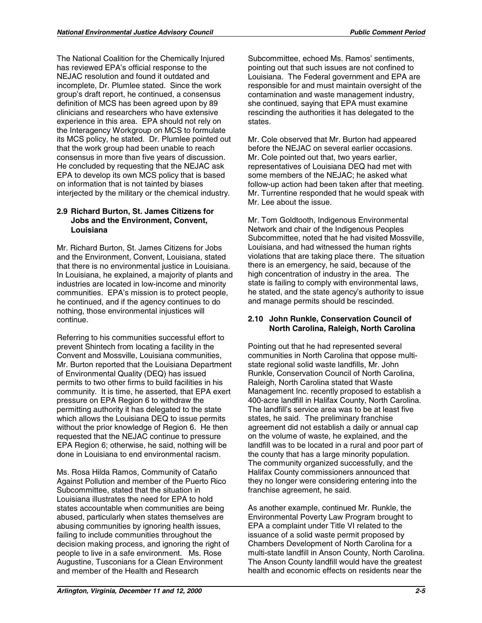The National Coalition for the Chemically Injured has reviewed EPA's official response to the NEJAC resolution and found it outdated and incomplete, Dr. Plumlee stated. Since the work group's draft report, he continued, a consensus definition of MCS has been agreed upon by 89 clinicians and researchers who have extensive experience in this area. EPA should not rely on the Interagency Workgroup on MCS to formulate its MCS policy, he stated. Dr. Plumlee pointed out that the work group had been unable to reach consensus in more than five years of discussion. He concluded by requesting that the NEJAC ask EPA to develop its own MCS policy that is based on information that is not tainted by biases interjected by the military or the chemical industry.

# **2.9 Richard Burton, St. James Citizens for Jobs and the Environment, Convent, Louisiana**

Mr. Richard Burton, St. James Citizens for Jobs and the Environment, Convent, Louisiana, stated that there is no environmental justice in Louisiana. In Louisiana, he explained, a majority of plants and industries are located in low-income and minority communities. EPA's mission is to protect people, he continued, and if the agency continues to do nothing, those environmental injustices will continue.

Referring to his communities successful effort to prevent Shintech from locating a facility in the Convent and Mossville, Louisiana communities, Mr. Burton reported that the Louisiana Department of Environmental Quality (DEQ) has issued permits to two other firms to build facilities in his community. It is time, he asserted, that EPA exert pressure on EPA Region 6 to withdraw the permitting authority it has delegated to the state which allows the Louisiana DEQ to issue permits without the prior knowledge of Region 6. He then requested that the NEJAC continue to pressure EPA Region 6; otherwise, he said, nothing will be done in Louisiana to end environmental racism.

Ms. Rosa Hilda Ramos, Community of Cataño Against Pollution and member of the Puerto Rico Subcommittee, stated that the situation in Louisiana illustrates the need for EPA to hold states accountable when communities are being abused, particularly when states themselves are abusing communities by ignoring health issues, failing to include communities throughout the decision making process, and ignoring the right of people to live in a safe environment. Ms. Rose Augustine, Tusconians for a Clean Environment and member of the Health and Research

Subcommittee, echoed Ms. Ramos' sentiments, pointing out that such issues are not confined to Louisiana. The Federal government and EPA are responsible for and must maintain oversight of the contamination and waste management industry, she continued, saying that EPA must examine rescinding the authorities it has delegated to the states.

Mr. Cole observed that Mr. Burton had appeared before the NEJAC on several earlier occasions. Mr. Cole pointed out that, two years earlier, representatives of Louisiana DEQ had met with some members of the NEJAC; he asked what follow-up action had been taken after that meeting. Mr. Turrentine responded that he would speak with Mr. Lee about the issue.

Mr. Tom Goldtooth, Indigenous Environmental Network and chair of the Indigenous Peoples Subcommittee, noted that he had visited Mossville, Louisiana, and had witnessed the human rights violations that are taking place there. The situation there is an emergency, he said, because of the high concentration of industry in the area. The state is failing to comply with environmental laws, he stated, and the state agency's authority to issue and manage permits should be rescinded.

# **2.10 John Runkle, Conservation Council of North Carolina, Raleigh, North Carolina**

Pointing out that he had represented several communities in North Carolina that oppose multistate regional solid waste landfills, Mr. John Runkle, Conservation Council of North Carolina, Raleigh, North Carolina stated that Waste Management Inc. recently proposed to establish a 400-acre landfill in Halifax County, North Carolina. The landfill's service area was to be at least five states, he said. The preliminary franchise agreement did not establish a daily or annual cap on the volume of waste, he explained, and the landfill was to be located in a rural and poor part of the county that has a large minority population. The community organized successfully, and the Halifax County commissioners announced that they no longer were considering entering into the franchise agreement, he said.

As another example, continued Mr. Runkle, the Environmental Poverty Law Program brought to EPA a complaint under Title VI related to the issuance of a solid waste permit proposed by Chambers Development of North Carolina for a multi-state landfill in Anson County, North Carolina. The Anson County landfill would have the greatest health and economic effects on residents near the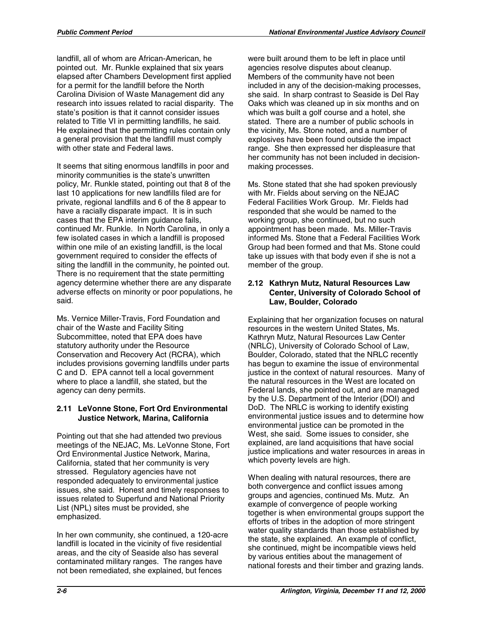landfill, all of whom are African-American, he pointed out. Mr. Runkle explained that six years elapsed after Chambers Development first applied for a permit for the landfill before the North Carolina Division of Waste Management did any research into issues related to racial disparity. The state's position is that it cannot consider issues related to Title VI in permitting landfills, he said. He explained that the permitting rules contain only a general provision that the landfill must comply with other state and Federal laws.

It seems that siting enormous landfills in poor and minority communities is the state's unwritten policy, Mr. Runkle stated, pointing out that 8 of the last 10 applications for new landfills filed are for private, regional landfills and 6 of the 8 appear to have a racially disparate impact. It is in such cases that the EPA interim guidance fails, continued Mr. Runkle. In North Carolina, in only a few isolated cases in which a landfill is proposed within one mile of an existing landfill, is the local government required to consider the effects of siting the landfill in the community, he pointed out. There is no requirement that the state permitting agency determine whether there are any disparate adverse effects on minority or poor populations, he said.

Ms. Vernice Miller-Travis, Ford Foundation and chair of the Waste and Facility Siting Subcommittee, noted that EPA does have statutory authority under the Resource Conservation and Recovery Act (RCRA), which includes provisions governing landfills under parts C and D. EPA cannot tell a local government where to place a landfill, she stated, but the agency can deny permits.

# **2.11 LeVonne Stone, Fort Ord Environmental Justice Network, Marina, California**

Pointing out that she had attended two previous meetings of the NEJAC, Ms. LeVonne Stone, Fort Ord Environmental Justice Network, Marina, California, stated that her community is very stressed. Regulatory agencies have not responded adequately to environmental justice issues, she said. Honest and timely responses to issues related to Superfund and National Priority List (NPL) sites must be provided, she emphasized.

In her own community, she continued, a 120-acre landfill is located in the vicinity of five residential areas, and the city of Seaside also has several contaminated military ranges. The ranges have not been remediated, she explained, but fences

were built around them to be left in place until agencies resolve disputes about cleanup. Members of the community have not been included in any of the decision-making processes, she said. In sharp contrast to Seaside is Del Ray Oaks which was cleaned up in six months and on which was built a golf course and a hotel, she stated. There are a number of public schools in the vicinity, Ms. Stone noted, and a number of explosives have been found outside the impact range. She then expressed her displeasure that her community has not been included in decisionmaking processes.

Ms. Stone stated that she had spoken previously with Mr. Fields about serving on the NEJAC Federal Facilities Work Group. Mr. Fields had responded that she would be named to the working group, she continued, but no such appointment has been made. Ms. Miller-Travis informed Ms. Stone that a Federal Facilities Work Group had been formed and that Ms. Stone could take up issues with that body even if she is not a member of the group.

### **2.12 Kathryn Mutz, Natural Resources Law Center, University of Colorado School of Law, Boulder, Colorado**

Explaining that her organization focuses on natural resources in the western United States, Ms. Kathryn Mutz, Natural Resources Law Center (NRLC), University of Colorado School of Law, Boulder, Colorado, stated that the NRLC recently has begun to examine the issue of environmental justice in the context of natural resources. Many of the natural resources in the West are located on Federal lands, she pointed out, and are managed by the U.S. Department of the Interior (DOI) and DoD. The NRLC is working to identify existing environmental justice issues and to determine how environmental justice can be promoted in the West, she said. Some issues to consider, she explained, are land acquisitions that have social justice implications and water resources in areas in which poverty levels are high.

When dealing with natural resources, there are both convergence and conflict issues among groups and agencies, continued Ms. Mutz. An example of convergence of people working together is when environmental groups support the efforts of tribes in the adoption of more stringent water quality standards than those established by the state, she explained. An example of conflict, she continued, might be incompatible views held by various entities about the management of national forests and their timber and grazing lands.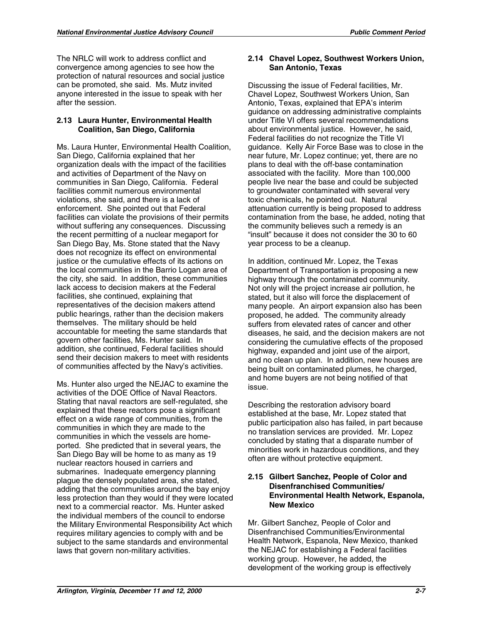The NRLC will work to address conflict and convergence among agencies to see how the protection of natural resources and social justice can be promoted, she said. Ms. Mutz invited anyone interested in the issue to speak with her after the session.

## **2.13 Laura Hunter, Environmental Health Coalition, San Diego, California**

Ms. Laura Hunter, Environmental Health Coalition, San Diego, California explained that her organization deals with the impact of the facilities and activities of Department of the Navy on communities in San Diego, California. Federal facilities commit numerous environmental violations, she said, and there is a lack of enforcement. She pointed out that Federal facilities can violate the provisions of their permits without suffering any consequences. Discussing the recent permitting of a nuclear megaport for San Diego Bay, Ms. Stone stated that the Navy does not recognize its effect on environmental justice or the cumulative effects of its actions on the local communities in the Barrio Logan area of the city, she said. In addition, these communities lack access to decision makers at the Federal facilities, she continued, explaining that representatives of the decision makers attend public hearings, rather than the decision makers themselves. The military should be held accountable for meeting the same standards that govern other facilities, Ms. Hunter said. In addition, she continued, Federal facilities should send their decision makers to meet with residents of communities affected by the Navy's activities.

Ms. Hunter also urged the NEJAC to examine the activities of the DOE Office of Naval Reactors. Stating that naval reactors are self-regulated, she explained that these reactors pose a significant effect on a wide range of communities, from the communities in which they are made to the communities in which the vessels are homeported. She predicted that in several years, the San Diego Bay will be home to as many as 19 nuclear reactors housed in carriers and submarines. Inadequate emergency planning plague the densely populated area, she stated, adding that the communities around the bay enjoy less protection than they would if they were located next to a commercial reactor. Ms. Hunter asked the individual members of the council to endorse the Military Environmental Responsibility Act which requires military agencies to comply with and be subject to the same standards and environmental laws that govern non-military activities.

### **2.14 Chavel Lopez, Southwest Workers Union, San Antonio, Texas**

Discussing the issue of Federal facilities, Mr. Chavel Lopez, Southwest Workers Union, San Antonio, Texas, explained that EPA's interim guidance on addressing administrative complaints under Title VI offers several recommendations about environmental justice. However, he said, Federal facilities do not recognize the Title VI guidance. Kelly Air Force Base was to close in the near future, Mr. Lopez continue; yet, there are no plans to deal with the off-base contamination associated with the facility. More than 100,000 people live near the base and could be subjected to groundwater contaminated with several very toxic chemicals, he pointed out. Natural attenuation currently is being proposed to address contamination from the base, he added, noting that the community believes such a remedy is an "insult" because it does not consider the 30 to 60 year process to be a cleanup.

In addition, continued Mr. Lopez, the Texas Department of Transportation is proposing a new highway through the contaminated community. Not only will the project increase air pollution, he stated, but it also will force the displacement of many people. An airport expansion also has been proposed, he added. The community already suffers from elevated rates of cancer and other diseases, he said, and the decision makers are not considering the cumulative effects of the proposed highway, expanded and joint use of the airport, and no clean up plan. In addition, new houses are being built on contaminated plumes, he charged, and home buyers are not being notified of that issue.

Describing the restoration advisory board established at the base, Mr. Lopez stated that public participation also has failed, in part because no translation services are provided. Mr. Lopez concluded by stating that a disparate number of minorities work in hazardous conditions, and they often are without protective equipment.

### **2.15 Gilbert Sanchez, People of Color and Disenfranchised Communities/ Environmental Health Network, Espanola, New Mexico**

Mr. Gilbert Sanchez, People of Color and Disenfranchised Communities/Environmental Health Network, Espanola, New Mexico, thanked the NEJAC for establishing a Federal facilities working group. However, he added, the development of the working group is effectively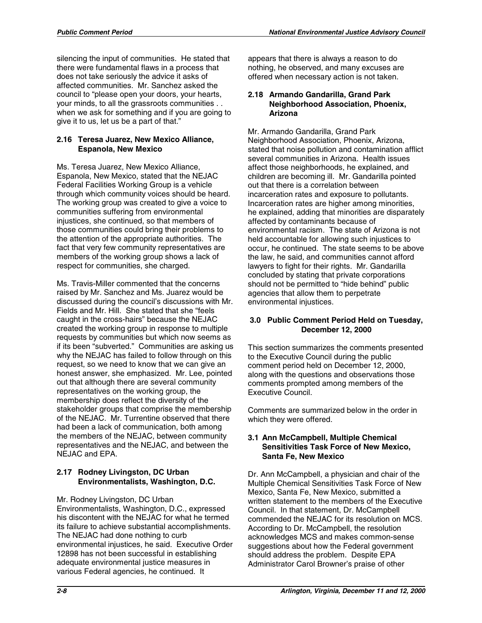silencing the input of communities. He stated that there were fundamental flaws in a process that does not take seriously the advice it asks of affected communities. Mr. Sanchez asked the council to "please open your doors, your hearts, your minds, to all the grassroots communities . . when we ask for something and if you are going to give it to us, let us be a part of that."

### **2.16 Teresa Juarez, New Mexico Alliance, Espanola, New Mexico**

Ms. Teresa Juarez, New Mexico Alliance, Espanola, New Mexico, stated that the NEJAC Federal Facilities Working Group is a vehicle through which community voices should be heard. The working group was created to give a voice to communities suffering from environmental injustices, she continued, so that members of those communities could bring their problems to the attention of the appropriate authorities. The fact that very few community representatives are members of the working group shows a lack of respect for communities, she charged.

Ms. Travis-Miller commented that the concerns raised by Mr. Sanchez and Ms. Juarez would be discussed during the council's discussions with Mr. Fields and Mr. Hill. She stated that she "feels caught in the cross-hairs" because the NEJAC created the working group in response to multiple requests by communities but which now seems as if its been "subverted." Communities are asking us why the NEJAC has failed to follow through on this request, so we need to know that we can give an honest answer, she emphasized. Mr. Lee, pointed out that although there are several community representatives on the working group, the membership does reflect the diversity of the stakeholder groups that comprise the membership of the NEJAC. Mr. Turrentine observed that there had been a lack of communication, both among the members of the NEJAC, between community representatives and the NEJAC, and between the NEJAC and EPA.

# **2.17 Rodney Livingston, DC Urban Environmentalists, Washington, D.C.**

Mr. Rodney Livingston, DC Urban

Environmentalists, Washington, D.C., expressed his discontent with the NEJAC for what he termed its failure to achieve substantial accomplishments. The NEJAC had done nothing to curb environmental injustices, he said. Executive Order 12898 has not been successful in establishing adequate environmental justice measures in various Federal agencies, he continued. It

appears that there is always a reason to do nothing, he observed, and many excuses are offered when necessary action is not taken.

### **2.18 Armando Gandarilla, Grand Park Neighborhood Association, Phoenix, Arizona**

Mr. Armando Gandarilla, Grand Park Neighborhood Association, Phoenix, Arizona, stated that noise pollution and contamination afflict several communities in Arizona. Health issues affect those neighborhoods, he explained, and children are becoming ill. Mr. Gandarilla pointed out that there is a correlation between incarceration rates and exposure to pollutants. Incarceration rates are higher among minorities, he explained, adding that minorities are disparately affected by contaminants because of environmental racism. The state of Arizona is not held accountable for allowing such injustices to occur, he continued. The state seems to be above the law, he said, and communities cannot afford lawyers to fight for their rights. Mr. Gandarilla concluded by stating that private corporations should not be permitted to "hide behind" public agencies that allow them to perpetrate environmental injustices.

# **3.0 Public Comment Period Held on Tuesday, December 12, 2000**

This section summarizes the comments presented to the Executive Council during the public comment period held on December 12, 2000, along with the questions and observations those comments prompted among members of the Executive Council.

Comments are summarized below in the order in which they were offered.

# **3.1 Ann McCampbell, Multiple Chemical Sensitivities Task Force of New Mexico, Santa Fe, New Mexico**

Dr. Ann McCampbell, a physician and chair of the Multiple Chemical Sensitivities Task Force of New Mexico, Santa Fe, New Mexico, submitted a written statement to the members of the Executive Council. In that statement, Dr. McCampbell commended the NEJAC for its resolution on MCS. According to Dr. McCampbell, the resolution acknowledges MCS and makes common-sense suggestions about how the Federal government should address the problem. Despite EPA Administrator Carol Browner's praise of other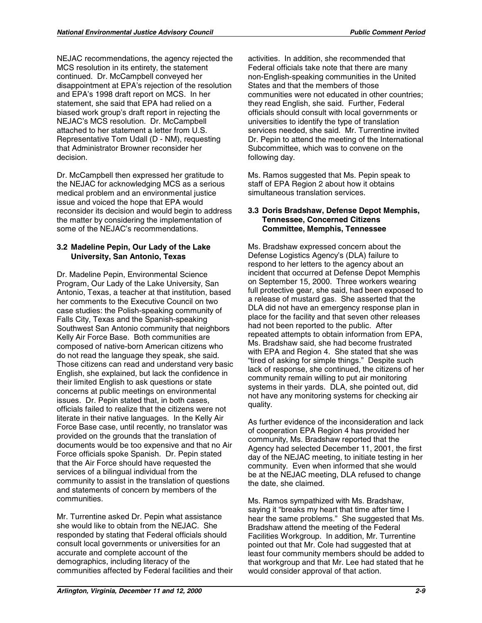NEJAC recommendations, the agency rejected the MCS resolution in its entirety, the statement continued. Dr. McCampbell conveyed her disappointment at EPA's rejection of the resolution and EPA's 1998 draft report on MCS. In her statement, she said that EPA had relied on a biased work group's draft report in rejecting the NEJAC's MCS resolution. Dr. McCampbell attached to her statement a letter from U.S. Representative Tom Udall (D - NM), requesting that Administrator Browner reconsider her decision.

Dr. McCampbell then expressed her gratitude to the NEJAC for acknowledging MCS as a serious medical problem and an environmental justice issue and voiced the hope that EPA would reconsider its decision and would begin to address the matter by considering the implementation of some of the NEJAC's recommendations.

### **3.2 Madeline Pepin, Our Lady of the Lake University, San Antonio, Texas**

Dr. Madeline Pepin, Environmental Science Program, Our Lady of the Lake University, San Antonio, Texas, a teacher at that institution, based her comments to the Executive Council on two case studies: the Polish-speaking community of Falls City, Texas and the Spanish-speaking Southwest San Antonio community that neighbors Kelly Air Force Base. Both communities are composed of native-born American citizens who do not read the language they speak, she said. Those citizens can read and understand very basic English, she explained, but lack the confidence in their limited English to ask questions or state concerns at public meetings on environmental issues. Dr. Pepin stated that, in both cases, officials failed to realize that the citizens were not literate in their native languages. In the Kelly Air Force Base case, until recently, no translator was provided on the grounds that the translation of documents would be too expensive and that no Air Force officials spoke Spanish. Dr. Pepin stated that the Air Force should have requested the services of a bilingual individual from the community to assist in the translation of questions and statements of concern by members of the communities.

Mr. Turrentine asked Dr. Pepin what assistance she would like to obtain from the NEJAC. She responded by stating that Federal officials should consult local governments or universities for an accurate and complete account of the demographics, including literacy of the communities affected by Federal facilities and their activities. In addition, she recommended that Federal officials take note that there are many non-English-speaking communities in the United States and that the members of those communities were not educated in other countries; they read English, she said. Further, Federal officials should consult with local governments or universities to identify the type of translation services needed, she said. Mr. Turrentine invited Dr. Pepin to attend the meeting of the International Subcommittee, which was to convene on the following day.

Ms. Ramos suggested that Ms. Pepin speak to staff of EPA Region 2 about how it obtains simultaneous translation services.

### **3.3 Doris Bradshaw, Defense Depot Memphis, Tennessee, Concerned Citizens Committee, Memphis, Tennessee**

Ms. Bradshaw expressed concern about the Defense Logistics Agency's (DLA) failure to respond to her letters to the agency about an incident that occurred at Defense Depot Memphis on September 15, 2000. Three workers wearing full protective gear, she said, had been exposed to a release of mustard gas. She asserted that the DLA did not have an emergency response plan in place for the facility and that seven other releases had not been reported to the public. After repeated attempts to obtain information from EPA, Ms. Bradshaw said, she had become frustrated with EPA and Region 4. She stated that she was "tired of asking for simple things." Despite such lack of response, she continued, the citizens of her community remain willing to put air monitoring systems in their yards. DLA, she pointed out, did not have any monitoring systems for checking air quality.

As further evidence of the inconsideration and lack of cooperation EPA Region 4 has provided her community, Ms. Bradshaw reported that the Agency had selected December 11, 2001, the first day of the NEJAC meeting, to initiate testing in her community. Even when informed that she would be at the NEJAC meeting, DLA refused to change the date, she claimed.

Ms. Ramos sympathized with Ms. Bradshaw, saying it "breaks my heart that time after time I hear the same problems." She suggested that Ms. Bradshaw attend the meeting of the Federal Facilities Workgroup. In addition, Mr. Turrentine pointed out that Mr. Cole had suggested that at least four community members should be added to that workgroup and that Mr. Lee had stated that he would consider approval of that action.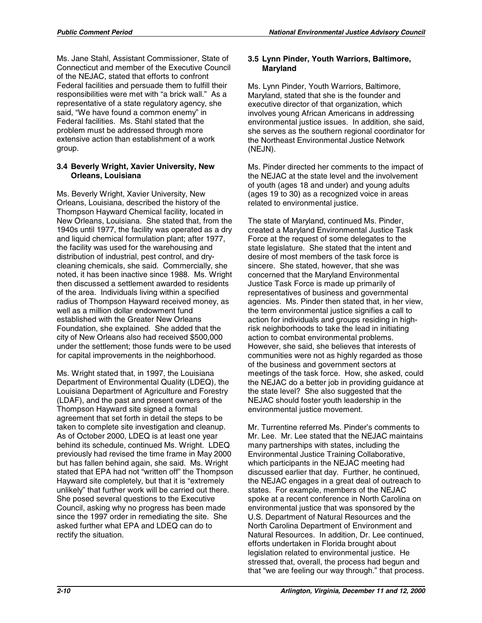Ms. Jane Stahl, Assistant Commissioner, State of Connecticut and member of the Executive Council of the NEJAC, stated that efforts to confront Federal facilities and persuade them to fulfill their responsibilities were met with "a brick wall." As a representative of a state regulatory agency, she said, "We have found a common enemy" in Federal facilities. Ms. Stahl stated that the problem must be addressed through more extensive action than establishment of a work group.

### **3.4 Beverly Wright, Xavier University, New Orleans, Louisiana**

Ms. Beverly Wright, Xavier University, New Orleans, Louisiana, described the history of the Thompson Hayward Chemical facility, located in New Orleans, Louisiana. She stated that, from the 1940s until 1977, the facility was operated as a dry and liquid chemical formulation plant; after 1977, the facility was used for the warehousing and distribution of industrial, pest control, and drycleaning chemicals, she said. Commercially, she noted, it has been inactive since 1988. Ms. Wright then discussed a settlement awarded to residents of the area. Individuals living within a specified radius of Thompson Hayward received money, as well as a million dollar endowment fund established with the Greater New Orleans Foundation, she explained. She added that the city of New Orleans also had received \$500,000 under the settlement; those funds were to be used for capital improvements in the neighborhood.

Ms. Wright stated that, in 1997, the Louisiana Department of Environmental Quality (LDEQ), the Louisiana Department of Agriculture and Forestry (LDAF), and the past and present owners of the Thompson Hayward site signed a formal agreement that set forth in detail the steps to be taken to complete site investigation and cleanup. As of October 2000, LDEQ is at least one year behind its schedule, continued Ms. Wright. LDEQ previously had revised the time frame in May 2000 but has fallen behind again, she said. Ms. Wright stated that EPA had not "written off" the Thompson Hayward site completely, but that it is "extremely unlikely" that further work will be carried out there. She posed several questions to the Executive Council, asking why no progress has been made since the 1997 order in remediating the site. She asked further what EPA and LDEQ can do to rectify the situation.

### **3.5 Lynn Pinder, Youth Warriors, Baltimore, Maryland**

Ms. Lynn Pinder, Youth Warriors, Baltimore, Maryland, stated that she is the founder and executive director of that organization, which involves young African Americans in addressing environmental justice issues. In addition, she said, she serves as the southern regional coordinator for the Northeast Environmental Justice Network (NEJN).

Ms. Pinder directed her comments to the impact of the NEJAC at the state level and the involvement of youth (ages 18 and under) and young adults (ages 19 to 30) as a recognized voice in areas related to environmental justice.

The state of Maryland, continued Ms. Pinder, created a Maryland Environmental Justice Task Force at the request of some delegates to the state legislature. She stated that the intent and desire of most members of the task force is sincere. She stated, however, that she was concerned that the Maryland Environmental Justice Task Force is made up primarily of representatives of business and governmental agencies. Ms. Pinder then stated that, in her view, the term environmental justice signifies a call to action for individuals and groups residing in highrisk neighborhoods to take the lead in initiating action to combat environmental problems. However, she said, she believes that interests of communities were not as highly regarded as those of the business and government sectors at meetings of the task force. How, she asked, could the NEJAC do a better job in providing guidance at the state level? She also suggested that the NEJAC should foster youth leadership in the environmental justice movement.

Mr. Turrentine referred Ms. Pinder's comments to Mr. Lee. Mr. Lee stated that the NEJAC maintains many partnerships with states, including the Environmental Justice Training Collaborative, which participants in the NEJAC meeting had discussed earlier that day. Further, he continued, the NEJAC engages in a great deal of outreach to states. For example, members of the NEJAC spoke at a recent conference in North Carolina on environmental justice that was sponsored by the U.S. Department of Natural Resources and the North Carolina Department of Environment and Natural Resources. In addition, Dr. Lee continued, efforts undertaken in Florida brought about legislation related to environmental justice. He stressed that, overall, the process had begun and that "we are feeling our way through." that process.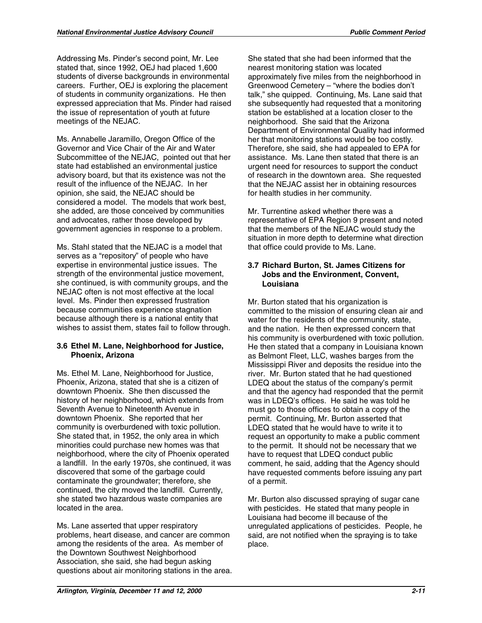Addressing Ms. Pinder's second point, Mr. Lee stated that, since 1992, OEJ had placed 1,600 students of diverse backgrounds in environmental careers. Further, OEJ is exploring the placement of students in community organizations. He then expressed appreciation that Ms. Pinder had raised the issue of representation of youth at future meetings of the NEJAC.

Ms. Annabelle Jaramillo, Oregon Office of the Governor and Vice Chair of the Air and Water Subcommittee of the NEJAC, pointed out that her state had established an environmental justice advisory board, but that its existence was not the result of the influence of the NEJAC. In her opinion, she said, the NEJAC should be considered a model. The models that work best, she added, are those conceived by communities and advocates, rather those developed by government agencies in response to a problem.

Ms. Stahl stated that the NEJAC is a model that serves as a "repository" of people who have expertise in environmental justice issues. The strength of the environmental justice movement, she continued, is with community groups, and the NEJAC often is not most effective at the local level. Ms. Pinder then expressed frustration because communities experience stagnation because although there is a national entity that wishes to assist them, states fail to follow through.

### **3.6 Ethel M. Lane, Neighborhood for Justice, Phoenix, Arizona**

Ms. Ethel M. Lane, Neighborhood for Justice, Phoenix, Arizona, stated that she is a citizen of downtown Phoenix. She then discussed the history of her neighborhood, which extends from Seventh Avenue to Nineteenth Avenue in downtown Phoenix. She reported that her community is overburdened with toxic pollution. She stated that, in 1952, the only area in which minorities could purchase new homes was that neighborhood, where the city of Phoenix operated a landfill. In the early 1970s, she continued, it was discovered that some of the garbage could contaminate the groundwater; therefore, she continued, the city moved the landfill. Currently, she stated two hazardous waste companies are located in the area.

Ms. Lane asserted that upper respiratory problems, heart disease, and cancer are common among the residents of the area. As member of the Downtown Southwest Neighborhood Association, she said, she had begun asking questions about air monitoring stations in the area. She stated that she had been informed that the nearest monitoring station was located approximately five miles from the neighborhood in Greenwood Cemetery – "where the bodies don't talk," she quipped. Continuing, Ms. Lane said that she subsequently had requested that a monitoring station be established at a location closer to the neighborhood. She said that the Arizona Department of Environmental Quality had informed her that monitoring stations would be too costly. Therefore, she said, she had appealed to EPA for assistance. Ms. Lane then stated that there is an urgent need for resources to support the conduct of research in the downtown area. She requested that the NEJAC assist her in obtaining resources for health studies in her community.

Mr. Turrentine asked whether there was a representative of EPA Region 9 present and noted that the members of the NEJAC would study the situation in more depth to determine what direction that office could provide to Ms. Lane.

## **3.7 Richard Burton, St. James Citizens for Jobs and the Environment, Convent, Louisiana**

Mr. Burton stated that his organization is committed to the mission of ensuring clean air and water for the residents of the community, state, and the nation. He then expressed concern that his community is overburdened with toxic pollution. He then stated that a company in Louisiana known as Belmont Fleet, LLC, washes barges from the Mississippi River and deposits the residue into the river. Mr. Burton stated that he had questioned LDEQ about the status of the company's permit and that the agency had responded that the permit was in LDEQ's offices. He said he was told he must go to those offices to obtain a copy of the permit. Continuing, Mr. Burton asserted that LDEQ stated that he would have to write it to request an opportunity to make a public comment to the permit. It should not be necessary that we have to request that LDEQ conduct public comment, he said, adding that the Agency should have requested comments before issuing any part of a permit.

Mr. Burton also discussed spraying of sugar cane with pesticides. He stated that many people in Louisiana had become ill because of the unregulated applications of pesticides. People, he said, are not notified when the spraying is to take place.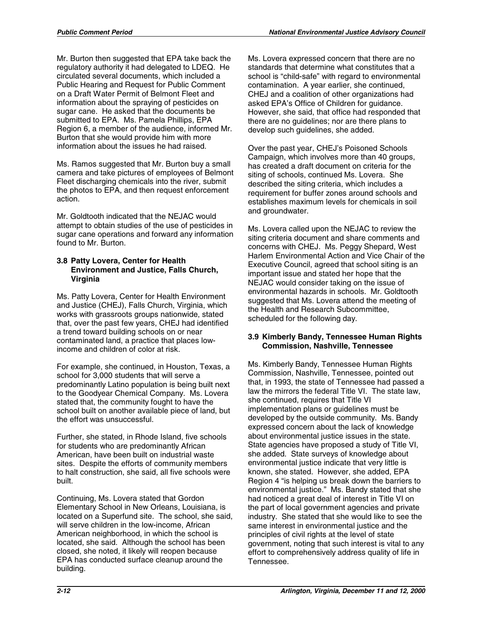Mr. Burton then suggested that EPA take back the regulatory authority it had delegated to LDEQ. He circulated several documents, which included a Public Hearing and Request for Public Comment on a Draft Water Permit of Belmont Fleet and information about the spraying of pesticides on sugar cane. He asked that the documents be submitted to EPA. Ms. Pamela Phillips, EPA Region 6, a member of the audience, informed Mr. Burton that she would provide him with more information about the issues he had raised.

Ms. Ramos suggested that Mr. Burton buy a small camera and take pictures of employees of Belmont Fleet discharging chemicals into the river, submit the photos to EPA, and then request enforcement action.

Mr. Goldtooth indicated that the NEJAC would attempt to obtain studies of the use of pesticides in sugar cane operations and forward any information found to Mr. Burton.

## **3.8 Patty Lovera, Center for Health Environment and Justice, Falls Church, Virginia**

Ms. Patty Lovera, Center for Health Environment and Justice (CHEJ), Falls Church, Virginia, which works with grassroots groups nationwide, stated that, over the past few years, CHEJ had identified a trend toward building schools on or near contaminated land, a practice that places lowincome and children of color at risk.

For example, she continued, in Houston, Texas, a school for 3,000 students that will serve a predominantly Latino population is being built next to the Goodyear Chemical Company. Ms. Lovera stated that, the community fought to have the school built on another available piece of land, but the effort was unsuccessful.

Further, she stated, in Rhode Island, five schools for students who are predominantly African American, have been built on industrial waste sites. Despite the efforts of community members to halt construction, she said, all five schools were built.

Continuing, Ms. Lovera stated that Gordon Elementary School in New Orleans, Louisiana, is located on a Superfund site. The school, she said, will serve children in the low-income, African American neighborhood, in which the school is located, she said. Although the school has been closed, she noted, it likely will reopen because EPA has conducted surface cleanup around the building.

Ms. Lovera expressed concern that there are no standards that determine what constitutes that a school is "child-safe" with regard to environmental contamination. A year earlier, she continued, CHEJ and a coalition of other organizations had asked EPA's Office of Children for guidance. However, she said, that office had responded that there are no guidelines; nor are there plans to develop such guidelines, she added.

Over the past year, CHEJ's Poisoned Schools Campaign, which involves more than 40 groups, has created a draft document on criteria for the siting of schools, continued Ms. Lovera. She described the siting criteria, which includes a requirement for buffer zones around schools and establishes maximum levels for chemicals in soil and groundwater.

Ms. Lovera called upon the NEJAC to review the siting criteria document and share comments and concerns with CHEJ. Ms. Peggy Shepard, West Harlem Environmental Action and Vice Chair of the Executive Council, agreed that school siting is an important issue and stated her hope that the NEJAC would consider taking on the issue of environmental hazards in schools. Mr. Goldtooth suggested that Ms. Lovera attend the meeting of the Health and Research Subcommittee, scheduled for the following day.

### **3.9 Kimberly Bandy, Tennessee Human Rights Commission, Nashville, Tennessee**

Ms. Kimberly Bandy, Tennessee Human Rights Commission, Nashville, Tennessee, pointed out that, in 1993, the state of Tennessee had passed a law the mirrors the federal Title VI. The state law, she continued, requires that Title VI implementation plans or guidelines must be developed by the outside community. Ms. Bandy expressed concern about the lack of knowledge about environmental justice issues in the state. State agencies have proposed a study of Title VI, she added. State surveys of knowledge about environmental justice indicate that very little is known, she stated. However, she added, EPA Region 4 "is helping us break down the barriers to environmental justice." Ms. Bandy stated that she had noticed a great deal of interest in Title VI on the part of local government agencies and private industry. She stated that she would like to see the same interest in environmental justice and the principles of civil rights at the level of state government, noting that such interest is vital to any effort to comprehensively address quality of life in Tennessee.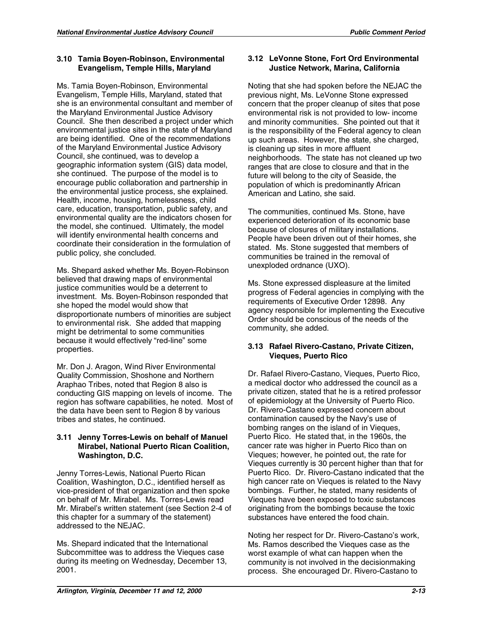# **3.10 Tamia Boyen-Robinson, Environmental Evangelism, Temple Hills, Maryland**

Ms. Tamia Boyen-Robinson, Environmental Evangelism, Temple Hills, Maryland, stated that she is an environmental consultant and member of the Maryland Environmental Justice Advisory Council. She then described a project under which environmental justice sites in the state of Maryland are being identified. One of the recommendations of the Maryland Environmental Justice Advisory Council, she continued, was to develop a geographic information system (GIS) data model, she continued. The purpose of the model is to encourage public collaboration and partnership in the environmental justice process, she explained. Health, income, housing, homelessness, child care, education, transportation, public safety, and environmental quality are the indicators chosen for the model, she continued. Ultimately, the model will identify environmental health concerns and coordinate their consideration in the formulation of public policy, she concluded.

Ms. Shepard asked whether Ms. Boyen-Robinson believed that drawing maps of environmental justice communities would be a deterrent to investment. Ms. Boyen-Robinson responded that she hoped the model would show that disproportionate numbers of minorities are subject to environmental risk. She added that mapping might be detrimental to some communities because it would effectively "red-line" some properties.

Mr. Don J. Aragon, Wind River Environmental Quality Commission, Shoshone and Northern Araphao Tribes, noted that Region 8 also is conducting GIS mapping on levels of income. The region has software capabilities, he noted. Most of the data have been sent to Region 8 by various tribes and states, he continued.

### **3.11 Jenny Torres-Lewis on behalf of Manuel Mirabel, National Puerto Rican Coalition, Washington, D.C.**

Jenny Torres-Lewis, National Puerto Rican Coalition, Washington, D.C., identified herself as vice-president of that organization and then spoke on behalf of Mr. Mirabel. Ms. Torres-Lewis read Mr. Mirabel's written statement (see Section 2-4 of this chapter for a summary of the statement) addressed to the NEJAC.

Ms. Shepard indicated that the International Subcommittee was to address the Vieques case during its meeting on Wednesday, December 13, 2001.

# **3.12 LeVonne Stone, Fort Ord Environmental Justice Network, Marina, California**

Noting that she had spoken before the NEJAC the previous night, Ms. LeVonne Stone expressed concern that the proper cleanup of sites that pose environmental risk is not provided to low- income and minority communities. She pointed out that it is the responsibility of the Federal agency to clean up such areas. However, the state, she charged, is cleaning up sites in more affluent neighborhoods. The state has not cleaned up two ranges that are close to closure and that in the future will belong to the city of Seaside, the population of which is predominantly African American and Latino, she said.

The communities, continued Ms. Stone, have experienced deterioration of its economic base because of closures of military installations. People have been driven out of their homes, she stated. Ms. Stone suggested that members of communities be trained in the removal of unexploded ordnance (UXO).

Ms. Stone expressed displeasure at the limited progress of Federal agencies in complying with the requirements of Executive Order 12898. Any agency responsible for implementing the Executive Order should be conscious of the needs of the community, she added.

# **3.13 Rafael Rivero-Castano, Private Citizen, Vieques, Puerto Rico**

Dr. Rafael Rivero-Castano, Vieques, Puerto Rico, a medical doctor who addressed the council as a private citizen, stated that he is a retired professor of epidemiology at the University of Puerto Rico. Dr. Rivero-Castano expressed concern about contamination caused by the Navy's use of bombing ranges on the island of in Vieques, Puerto Rico. He stated that, in the 1960s, the cancer rate was higher in Puerto Rico than on Vieques; however, he pointed out, the rate for Vieques currently is 30 percent higher than that for Puerto Rico. Dr. Rivero-Castano indicated that the high cancer rate on Vieques is related to the Navy bombings. Further, he stated, many residents of Vieques have been exposed to toxic substances originating from the bombings because the toxic substances have entered the food chain.

Noting her respect for Dr. Rivero-Castano's work, Ms. Ramos described the Vieques case as the worst example of what can happen when the community is not involved in the decisionmaking process. She encouraged Dr. Rivero-Castano to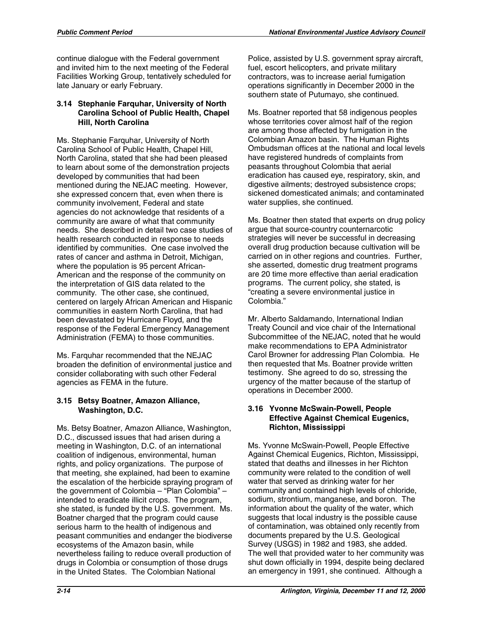continue dialogue with the Federal government and invited him to the next meeting of the Federal Facilities Working Group, tentatively scheduled for late January or early February.

## **3.14 Stephanie Farquhar, University of North Carolina School of Public Health, Chapel Hill, North Carolina**

Ms. Stephanie Farquhar, University of North Carolina School of Public Health, Chapel Hill, North Carolina, stated that she had been pleased to learn about some of the demonstration projects developed by communities that had been mentioned during the NEJAC meeting. However, she expressed concern that, even when there is community involvement, Federal and state agencies do not acknowledge that residents of a community are aware of what that community needs. She described in detail two case studies of health research conducted in response to needs identified by communities. One case involved the rates of cancer and asthma in Detroit, Michigan, where the population is 95 percent African-American and the response of the community on the interpretation of GIS data related to the community. The other case, she continued, centered on largely African American and Hispanic communities in eastern North Carolina, that had been devastated by Hurricane Floyd, and the response of the Federal Emergency Management Administration (FEMA) to those communities.

Ms. Farquhar recommended that the NEJAC broaden the definition of environmental justice and consider collaborating with such other Federal agencies as FEMA in the future.

# **3.15 Betsy Boatner, Amazon Alliance, Washington, D.C.**

Ms. Betsy Boatner, Amazon Alliance, Washington, D.C., discussed issues that had arisen during a meeting in Washington, D.C. of an international coalition of indigenous, environmental, human rights, and policy organizations. The purpose of that meeting, she explained, had been to examine the escalation of the herbicide spraying program of the government of Colombia – "Plan Colombia" – intended to eradicate illicit crops. The program, she stated, is funded by the U.S. government. Ms. Boatner charged that the program could cause serious harm to the health of indigenous and peasant communities and endanger the biodiverse ecosystems of the Amazon basin, while nevertheless failing to reduce overall production of drugs in Colombia or consumption of those drugs in the United States. The Colombian National

Police, assisted by U.S. government spray aircraft, fuel, escort helicopters, and private military contractors, was to increase aerial fumigation operations significantly in December 2000 in the southern state of Putumayo, she continued.

Ms. Boatner reported that 58 indigenous peoples whose territories cover almost half of the region are among those affected by fumigation in the Colombian Amazon basin. The Human Rights Ombudsman offices at the national and local levels have registered hundreds of complaints from peasants throughout Colombia that aerial eradication has caused eye, respiratory, skin, and digestive ailments; destroyed subsistence crops; sickened domesticated animals; and contaminated water supplies, she continued.

Ms. Boatner then stated that experts on drug policy argue that source-country counternarcotic strategies will never be successful in decreasing overall drug production because cultivation will be carried on in other regions and countries. Further, she asserted, domestic drug treatment programs are 20 time more effective than aerial eradication programs. The current policy, she stated, is "creating a severe environmental justice in Colombia."

Mr. Alberto Saldamando, International Indian Treaty Council and vice chair of the International Subcommittee of the NEJAC, noted that he would make recommendations to EPA Administrator Carol Browner for addressing Plan Colombia. He then requested that Ms. Boatner provide written testimony. She agreed to do so, stressing the urgency of the matter because of the startup of operations in December 2000.

# **3.16 Yvonne McSwain-Powell, People Effective Against Chemical Eugenics, Richton, Mississippi**

Ms. Yvonne McSwain-Powell, People Effective Against Chemical Eugenics, Richton, Mississippi, stated that deaths and illnesses in her Richton community were related to the condition of well water that served as drinking water for her community and contained high levels of chloride, sodium, strontium, manganese, and boron. The information about the quality of the water, which suggests that local industry is the possible cause of contamination, was obtained only recently from documents prepared by the U.S. Geological Survey (USGS) in 1982 and 1983, she added. The well that provided water to her community was shut down officially in 1994, despite being declared an emergency in 1991, she continued. Although a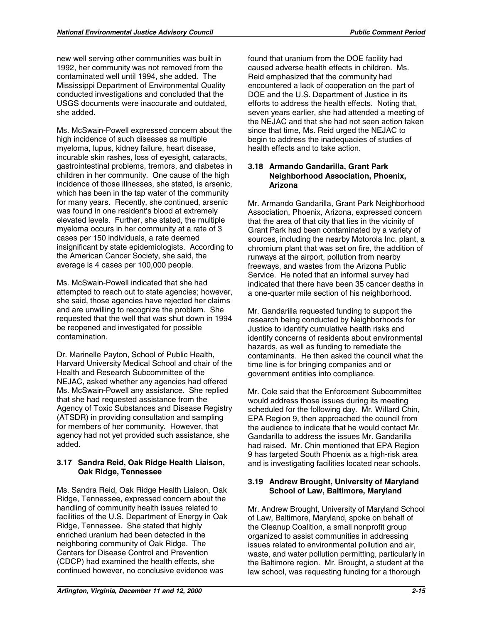new well serving other communities was built in 1992, her community was not removed from the contaminated well until 1994, she added. The Mississippi Department of Environmental Quality conducted investigations and concluded that the USGS documents were inaccurate and outdated, she added.

Ms. McSwain-Powell expressed concern about the high incidence of such diseases as multiple myeloma, lupus, kidney failure, heart disease, incurable skin rashes, loss of eyesight, cataracts, gastrointestinal problems, tremors, and diabetes in children in her community. One cause of the high incidence of those illnesses, she stated, is arsenic, which has been in the tap water of the community for many years. Recently, she continued, arsenic was found in one resident's blood at extremely elevated levels. Further, she stated, the multiple myeloma occurs in her community at a rate of 3 cases per 150 individuals, a rate deemed insignificant by state epidemiologists. According to the American Cancer Society, she said, the average is 4 cases per 100,000 people.

Ms. McSwain-Powell indicated that she had attempted to reach out to state agencies; however, she said, those agencies have rejected her claims and are unwilling to recognize the problem. She requested that the well that was shut down in 1994 be reopened and investigated for possible contamination.

Dr. Marinelle Payton, School of Public Health, Harvard University Medical School and chair of the Health and Research Subcommittee of the NEJAC, asked whether any agencies had offered Ms. McSwain-Powell any assistance. She replied that she had requested assistance from the Agency of Toxic Substances and Disease Registry (ATSDR) in providing consultation and sampling for members of her community. However, that agency had not yet provided such assistance, she added.

### **3.17 Sandra Reid, Oak Ridge Health Liaison, Oak Ridge, Tennessee**

Ms. Sandra Reid, Oak Ridge Health Liaison, Oak Ridge, Tennessee, expressed concern about the handling of community health issues related to facilities of the U.S. Department of Energy in Oak Ridge, Tennessee. She stated that highly enriched uranium had been detected in the neighboring community of Oak Ridge. The Centers for Disease Control and Prevention (CDCP) had examined the health effects, she continued however, no conclusive evidence was

found that uranium from the DOE facility had caused adverse health effects in children. Ms. Reid emphasized that the community had encountered a lack of cooperation on the part of DOE and the U.S. Department of Justice in its efforts to address the health effects. Noting that, seven years earlier, she had attended a meeting of the NEJAC and that she had not seen action taken since that time, Ms. Reid urged the NEJAC to begin to address the inadequacies of studies of health effects and to take action.

### **3.18 Armando Gandarilla, Grant Park Neighborhood Association, Phoenix, Arizona**

Mr. Armando Gandarilla, Grant Park Neighborhood Association, Phoenix, Arizona, expressed concern that the area of that city that lies in the vicinity of Grant Park had been contaminated by a variety of sources, including the nearby Motorola Inc. plant, a chromium plant that was set on fire, the addition of runways at the airport, pollution from nearby freeways, and wastes from the Arizona Public Service. He noted that an informal survey had indicated that there have been 35 cancer deaths in a one-quarter mile section of his neighborhood.

Mr. Gandarilla requested funding to support the research being conducted by Neighborhoods for Justice to identify cumulative health risks and identify concerns of residents about environmental hazards, as well as funding to remediate the contaminants. He then asked the council what the time line is for bringing companies and or government entities into compliance.

Mr. Cole said that the Enforcement Subcommittee would address those issues during its meeting scheduled for the following day. Mr. Willard Chin, EPA Region 9, then approached the council from the audience to indicate that he would contact Mr. Gandarilla to address the issues Mr. Gandarilla had raised. Mr. Chin mentioned that EPA Region 9 has targeted South Phoenix as a high-risk area and is investigating facilities located near schools.

# **3.19 Andrew Brought, University of Maryland School of Law, Baltimore, Maryland**

Mr. Andrew Brought, University of Maryland School of Law, Baltimore, Maryland, spoke on behalf of the Cleanup Coalition, a small nonprofit group organized to assist communities in addressing issues related to environmental pollution and air, waste, and water pollution permitting, particularly in the Baltimore region. Mr. Brought, a student at the law school, was requesting funding for a thorough